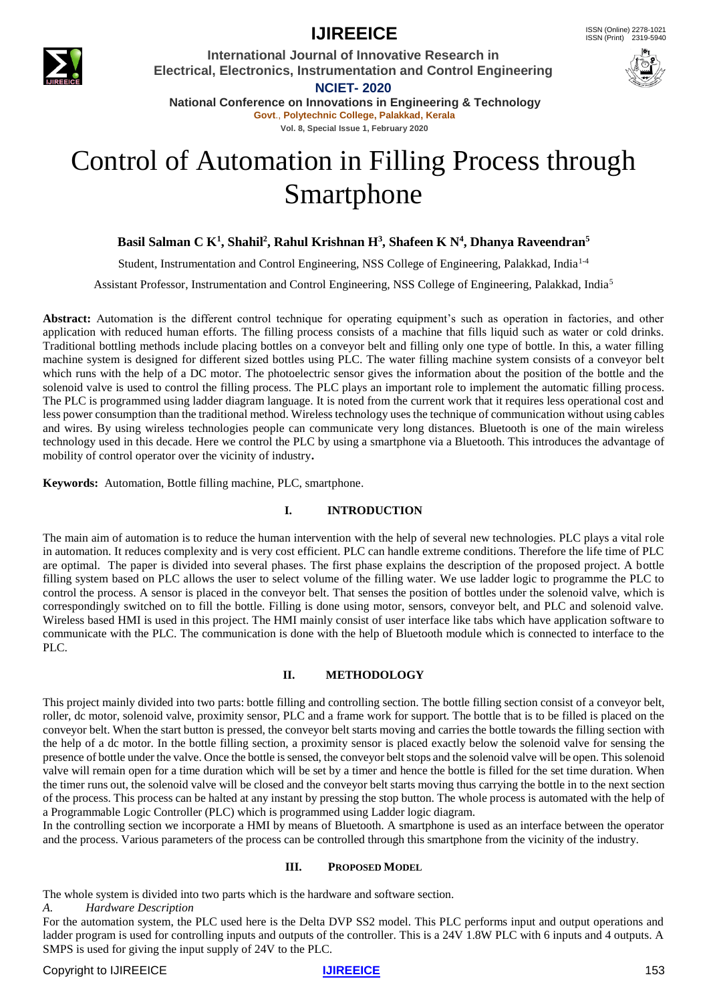

## **IJIREEICE** ISSN (Online)  $2278-1021$

**International Journal of Innovative Research in Electrical, Electronics, Instrumentation and Control Engineering NCIET- 2020**



**National Conference on Innovations in Engineering & Technology Govt**., **Polytechnic College, Palakkad, Kerala Vol. 8, Special Issue 1, February 2020**

# Control of Automation in Filling Process through Smartphone

#### **Basil Salman C K<sup>1</sup> , Shahil<sup>2</sup> , Rahul Krishnan H<sup>3</sup> , Shafeen K N<sup>4</sup> , Dhanya Raveendran<sup>5</sup>**

Student, Instrumentation and Control Engineering, NSS College of Engineering, Palakkad, India<sup>1-4</sup>

Assistant Professor, Instrumentation and Control Engineering, NSS College of Engineering, Palakkad, India<sup>5</sup>

**Abstract:** Automation is the different control technique for operating equipment's such as operation in factories, and other application with reduced human efforts. The filling process consists of a machine that fills liquid such as water or cold drinks. Traditional bottling methods include placing bottles on a conveyor belt and filling only one type of bottle. In this, a water filling machine system is designed for different sized bottles using PLC. The water filling machine system consists of a conveyor belt which runs with the help of a DC motor. The photoelectric sensor gives the information about the position of the bottle and the solenoid valve is used to control the filling process. The PLC plays an important role to implement the automatic filling process. The PLC is programmed using ladder diagram language. It is noted from the current work that it requires less operational cost and less power consumption than the traditional method. Wireless technology uses the technique of communication without using cables and wires. By using wireless technologies people can communicate very long distances. Bluetooth is one of the main wireless technology used in this decade. Here we control the PLC by using a smartphone via a Bluetooth. This introduces the advantage of mobility of control operator over the vicinity of industry**.**

**Keywords:** Automation, Bottle filling machine, PLC, smartphone.

#### **I. INTRODUCTION**

The main aim of automation is to reduce the human intervention with the help of several new technologies. PLC plays a vital role in automation. It reduces complexity and is very cost efficient. PLC can handle extreme conditions. Therefore the life time of PLC are optimal. The paper is divided into several phases. The first phase explains the description of the proposed project. A bottle filling system based on PLC allows the user to select volume of the filling water. We use ladder logic to programme the PLC to control the process. A sensor is placed in the conveyor belt. That senses the position of bottles under the solenoid valve, which is correspondingly switched on to fill the bottle. Filling is done using motor, sensors, conveyor belt, and PLC and solenoid valve. Wireless based HMI is used in this project. The HMI mainly consist of user interface like tabs which have application software to communicate with the PLC. The communication is done with the help of Bluetooth module which is connected to interface to the PLC.

#### **II. METHODOLOGY**

This project mainly divided into two parts: bottle filling and controlling section. The bottle filling section consist of a conveyor belt, roller, dc motor, solenoid valve, proximity sensor, PLC and a frame work for support. The bottle that is to be filled is placed on the conveyor belt. When the start button is pressed, the conveyor belt starts moving and carries the bottle towards the filling section with the help of a dc motor. In the bottle filling section, a proximity sensor is placed exactly below the solenoid valve for sensing the presence of bottle under the valve. Once the bottle is sensed, the conveyor belt stops and the solenoid valve will be open. This solenoid valve will remain open for a time duration which will be set by a timer and hence the bottle is filled for the set time duration. When the timer runs out, the solenoid valve will be closed and the conveyor belt starts moving thus carrying the bottle in to the next section of the process. This process can be halted at any instant by pressing the stop button. The whole process is automated with the help of a Programmable Logic Controller (PLC) which is programmed using Ladder logic diagram.

In the controlling section we incorporate a HMI by means of Bluetooth. A smartphone is used as an interface between the operator and the process. Various parameters of the process can be controlled through this smartphone from the vicinity of the industry.

#### **III. PROPOSED MODEL**

The whole system is divided into two parts which is the hardware and software section.

*A. Hardware Description*

For the automation system, the PLC used here is the Delta DVP SS2 model. This PLC performs input and output operations and ladder program is used for controlling inputs and outputs of the controller. This is a 24V 1.8W PLC with 6 inputs and 4 outputs. A SMPS is used for giving the input supply of 24V to the PLC.

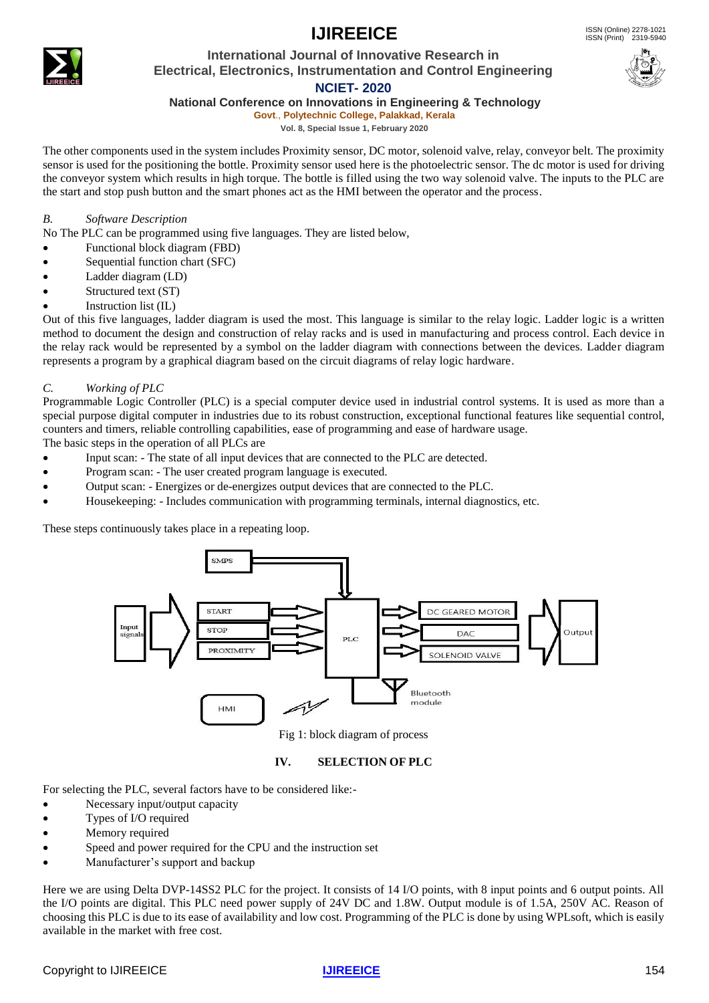# **IJIREEICE** ISSN (Online)  $2278-1021$



### **International Journal of Innovative Research in Electrical, Electronics, Instrumentation and Control Engineering**



### **NCIET- 2020**

**National Conference on Innovations in Engineering & Technology**

**Govt**., **Polytechnic College, Palakkad, Kerala Vol. 8, Special Issue 1, February 2020**

The other components used in the system includes Proximity sensor, DC motor, solenoid valve, relay, conveyor belt. The proximity sensor is used for the positioning the bottle. Proximity sensor used here is the photoelectric sensor. The dc motor is used for driving the conveyor system which results in high torque. The bottle is filled using the two way solenoid valve. The inputs to the PLC are the start and stop push button and the smart phones act as the HMI between the operator and the process.

#### *B. Software Description*

No The PLC can be programmed using five languages. They are listed below,

- Functional block diagram (FBD)
- Sequential function chart (SFC)
- Ladder diagram (LD)
- Structured text (ST)
- Instruction list (IL)

Out of this five languages, ladder diagram is used the most. This language is similar to the relay logic. Ladder logic is a written method to document the design and construction of relay racks and is used in manufacturing and process control. Each device in the relay rack would be represented by a symbol on the ladder diagram with connections between the devices. Ladder diagram represents a program by a graphical diagram based on the circuit diagrams of relay logic hardware.

#### *C. Working of PLC*

Programmable Logic Controller (PLC) is a special computer device used in industrial control systems. It is used as more than a special purpose digital computer in industries due to its robust construction, exceptional functional features like sequential control, counters and timers, reliable controlling capabilities, ease of programming and ease of hardware usage.

The basic steps in the operation of all PLCs are

- Input scan: The state of all input devices that are connected to the PLC are detected.
- Program scan: The user created program language is executed.
- Output scan: Energizes or de-energizes output devices that are connected to the PLC.
- Housekeeping: Includes communication with programming terminals, internal diagnostics, etc.

These steps continuously takes place in a repeating loop.



Fig 1: block diagram of process

#### **IV. SELECTION OF PLC**

For selecting the PLC, several factors have to be considered like:-

- Necessary input/output capacity
- Types of I/O required
- Memory required
- Speed and power required for the CPU and the instruction set
- Manufacturer's support and backup

Here we are using Delta DVP-14SS2 PLC for the project. It consists of 14 I/O points, with 8 input points and 6 output points. All the I/O points are digital. This PLC need power supply of 24V DC and 1.8W. Output module is of 1.5A, 250V AC. Reason of choosing this PLC is due to its ease of availability and low cost. Programming of the PLC is done by using WPLsoft, which is easily available in the market with free cost.

#### **Copyright to IJIREEICE** 154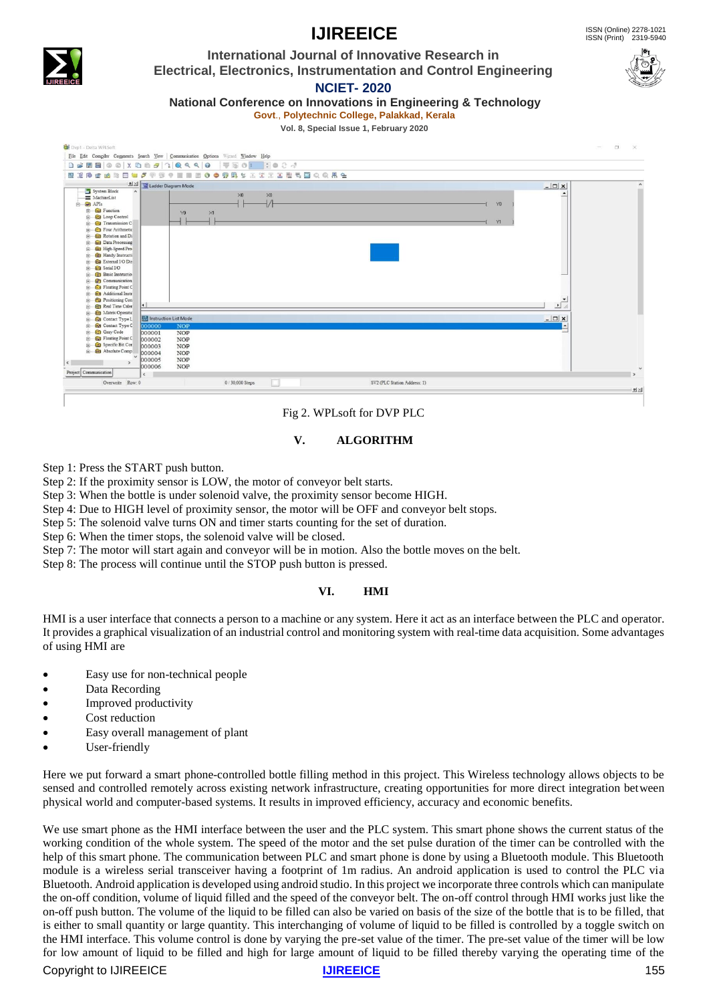### ISSN (Print) 2319-5940

# **IJIREEICE** ISSN (Online)  $2278-1021$

**International Journal of Innovative Research in Electrical, Electronics, Instrumentation and Control Engineering**



**NCIET- 2020**

**National Conference on Innovations in Engineering & Technology Govt**., **Polytechnic College, Palakkad, Kerala**

**Vol. 8, Special Issue 1, February 2020**



#### Fig 2. WPLsoft for DVP PLC

#### **V. ALGORITHM**

Step 1: Press the START push button.

Step 2: If the proximity sensor is LOW, the motor of conveyor belt starts.

Step 3: When the bottle is under solenoid valve, the proximity sensor become HIGH.

Step 4: Due to HIGH level of proximity sensor, the motor will be OFF and conveyor belt stops.

Step 5: The solenoid valve turns ON and timer starts counting for the set of duration.

Step 6: When the timer stops, the solenoid valve will be closed.

Step 7: The motor will start again and conveyor will be in motion. Also the bottle moves on the belt.

Step 8: The process will continue until the STOP push button is pressed.

#### **VI. HMI**

HMI is a user interface that connects a person to a machine or any system. Here it act as an interface between the PLC and operator. It provides a graphical visualization of an industrial control and monitoring system with real-time data acquisition. Some advantages of using HMI are

- Easy use for non-technical people
- Data Recording
- Improved productivity
- Cost reduction
- Easy overall management of plant
- User-friendly

Here we put forward a smart phone-controlled bottle filling method in this project. This Wireless technology allows objects to be sensed and controlled remotely across existing network infrastructure, creating opportunities for more direct integration between physical world and computer-based systems. It results in improved efficiency, accuracy and economic benefits.

We use smart phone as the HMI interface between the user and the PLC system. This smart phone shows the current status of the working condition of the whole system. The speed of the motor and the set pulse duration of the timer can be controlled with the help of this smart phone. The communication between PLC and smart phone is done by using a Bluetooth module. This Bluetooth module is a wireless serial transceiver having a footprint of 1m radius. An android application is used to control the PLC via Bluetooth. Android application is developed using android studio. In this project we incorporate three controls which can manipulate the on-off condition, volume of liquid filled and the speed of the conveyor belt. The on-off control through HMI works just like the on-off push button. The volume of the liquid to be filled can also be varied on basis of the size of the bottle that is to be filled, that is either to small quantity or large quantity. This interchanging of volume of liquid to be filled is controlled by a toggle switch on the HMI interface. This volume control is done by varying the pre-set value of the timer. The pre-set value of the timer will be low for low amount of liquid to be filled and high for large amount of liquid to be filled thereby varying the operating time of the

#### **Copyright to IJIREEICE** 155